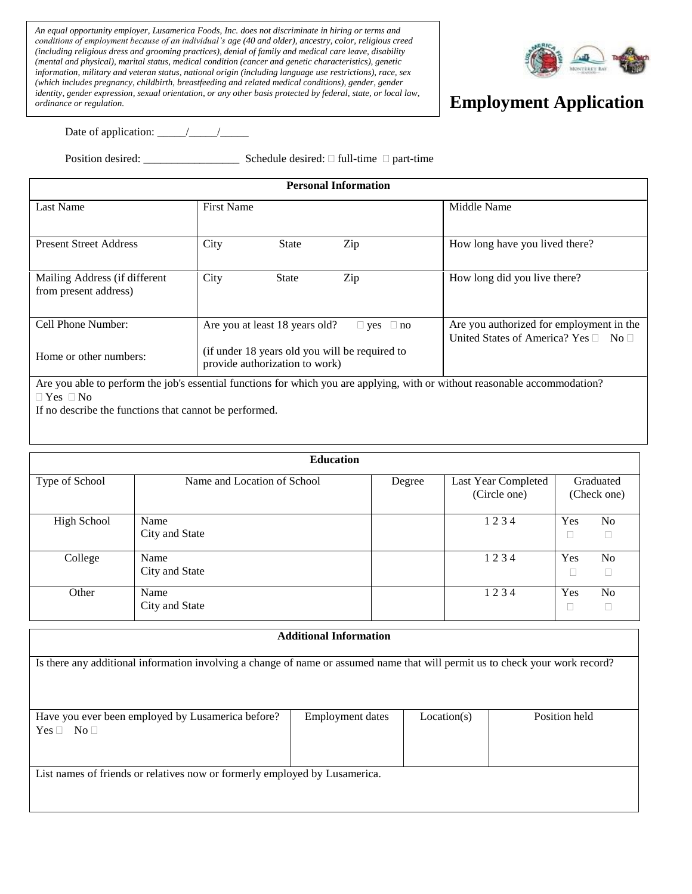*A including religious dress did status, mediatecs, denditing parameters and did the external and physical), marital status, national origin (including language use restrictions), race, sex <i>information, military and vet An equal opportunity employer, Lusamerica Foods, Inc. does not discriminate in hiring or terms and conditions of employment because of an individual's age (40 and older), ancestry, color, religious creed (including religious dress and grooming practices), denial of family and medical care leave, disability (mental and physical), marital status, medical condition (cancer and genetic characteristics), genetic (which includes pregnancy, childbirth, breastfeeding and related medical conditions), gender, gender identity, gender expression, sexual orientation, or any other basis protected by federal, state, or local law, ordinance or regulation.*



## **Employment Application**

Date of application: \_\_\_\_\_/\_\_\_\_\_/\_\_\_\_\_

Position desired: \_\_\_\_\_\_\_\_\_\_\_\_\_\_\_\_\_ Schedule desired: full-time part-time

| <b>Personal Information</b>                            |                                                                                                                                                                                                                            |                                                                                            |  |  |  |
|--------------------------------------------------------|----------------------------------------------------------------------------------------------------------------------------------------------------------------------------------------------------------------------------|--------------------------------------------------------------------------------------------|--|--|--|
| <b>Last Name</b>                                       | <b>First Name</b>                                                                                                                                                                                                          | Middle Name                                                                                |  |  |  |
| <b>Present Street Address</b>                          | Zip<br>City<br><b>State</b>                                                                                                                                                                                                | How long have you lived there?                                                             |  |  |  |
| Mailing Address (if different<br>from present address) | City<br>Zip<br><b>State</b>                                                                                                                                                                                                | How long did you live there?                                                               |  |  |  |
| Cell Phone Number:                                     | Are you at least 18 years old?<br>$\Box$ yes $\Box$ no                                                                                                                                                                     | Are you authorized for employment in the<br>United States of America? Yes $\Box$ No $\Box$ |  |  |  |
| Home or other numbers:                                 | (if under 18 years old you will be required to<br>provide authorization to work)<br>And there also a number of a lable consisted from these formations are consistent and the consistence of the consequence detection $0$ |                                                                                            |  |  |  |

Are you able to perform the job's essential functions for which you are applying, with or without reasonable accommodation?  $\Box$  Yes  $\Box$  No

If no describe the functions that cannot be performed.

| <b>Education</b>   |                             |        |                                     |     |                          |  |
|--------------------|-----------------------------|--------|-------------------------------------|-----|--------------------------|--|
| Type of School     | Name and Location of School | Degree | Last Year Completed<br>(Circle one) |     | Graduated<br>(Check one) |  |
| <b>High School</b> | Name<br>City and State      |        | 1234                                | Yes | No                       |  |
| College            | Name<br>City and State      |        | 1234                                | Yes | No                       |  |
| Other              | Name<br>City and State      |        | 1234                                | Yes | No                       |  |

| <b>Additional Information</b>                                                                                                 |                         |             |               |  |  |
|-------------------------------------------------------------------------------------------------------------------------------|-------------------------|-------------|---------------|--|--|
|                                                                                                                               |                         |             |               |  |  |
| Is there any additional information involving a change of name or assumed name that will permit us to check your work record? |                         |             |               |  |  |
|                                                                                                                               |                         |             |               |  |  |
|                                                                                                                               |                         |             |               |  |  |
|                                                                                                                               |                         |             |               |  |  |
| Have you ever been employed by Lusamerica before?                                                                             | <b>Employment dates</b> | Location(s) | Position held |  |  |
| $Yes \Box No \Box$                                                                                                            |                         |             |               |  |  |
|                                                                                                                               |                         |             |               |  |  |
|                                                                                                                               |                         |             |               |  |  |
| List names of friends or relatives now or formerly employed by Lusamerica.                                                    |                         |             |               |  |  |
|                                                                                                                               |                         |             |               |  |  |
|                                                                                                                               |                         |             |               |  |  |